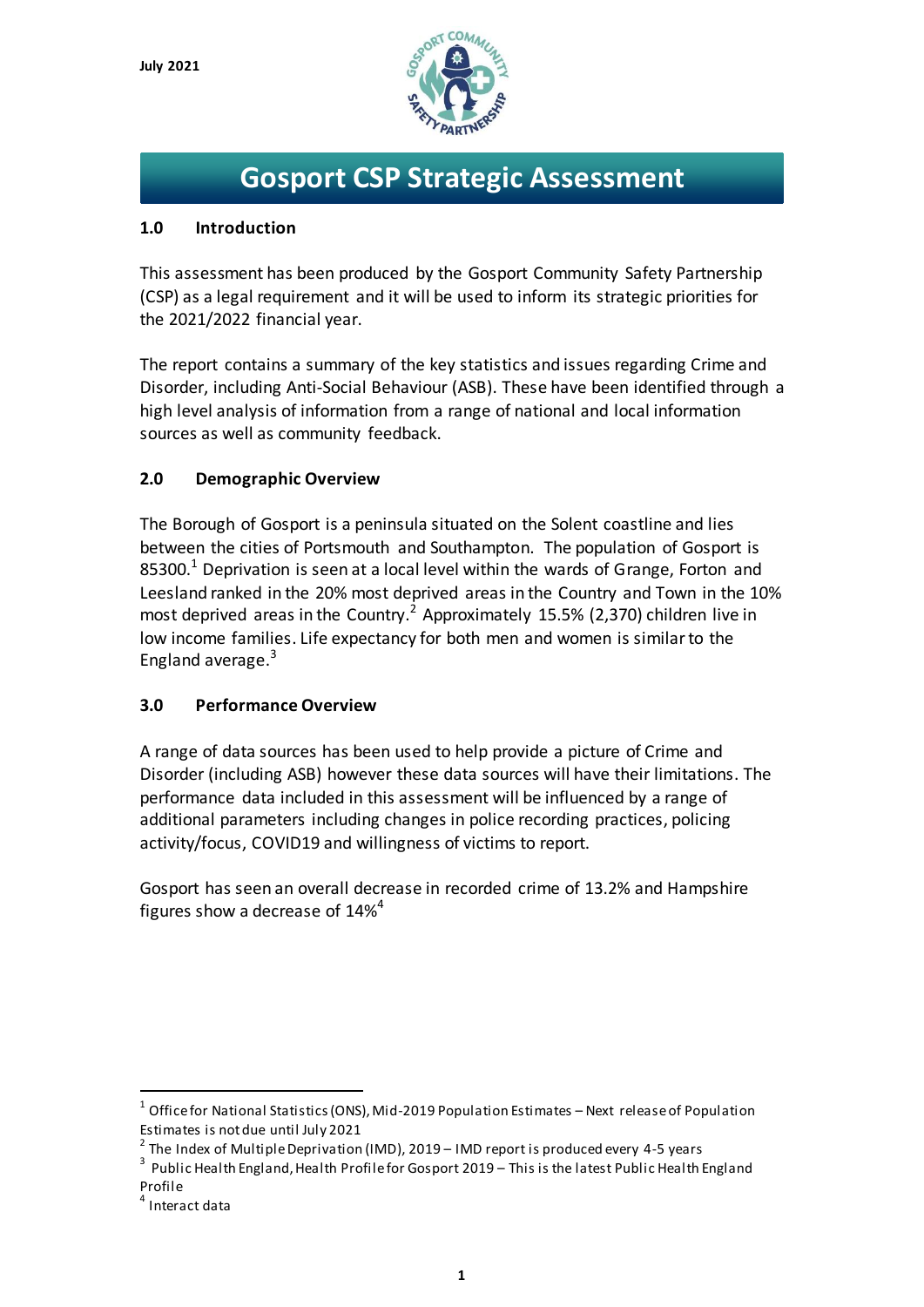

# **Gosport CSP Strategic Assessment**

# **1.0 Introduction**

This assessment has been produced by the Gosport Community Safety Partnership (CSP) as a legal requirement and it will be used to inform its strategic priorities for the 2021/2022 financial year.

The report contains a summary of the key statistics and issues regarding Crime and Disorder, including Anti-Social Behaviour (ASB). These have been identified through a high level analysis of information from a range of national and local information sources as well as community feedback.

# **2.0 Demographic Overview**

The Borough of Gosport is a peninsula situated on the Solent coastline and lies between the cities of Portsmouth and Southampton. The population of Gosport is 85300.<sup>1</sup> Deprivation is seen at a local level within the wards of Grange, Forton and Leesland ranked in the 20% most deprived areas in the Country and Town in the 10% most deprived areas in the Country.<sup>2</sup> Approximately 15.5% (2,370) children live in low income families. Life expectancy for both men and women is similar to the England average.<sup>3</sup>

# **3.0 Performance Overview**

A range of data sources has been used to help provide a picture of Crime and Disorder (including ASB) however these data sources will have their limitations. The performance data included in this assessment will be influenced by a range of additional parameters including changes in police recording practices, policing activity/focus, COVID19 and willingness of victims to report.

Gosport has seen an overall decrease in recorded crime of 13.2% and Hampshire figures show a decrease of 14%<sup>4</sup>

 $\overline{a}$ 

 $^{\rm 1}$  Office for National Statistics (ONS), Mid-2019 Population Estimates – Next release of Population Estimates is not due until July 2021

 $^{\text{2}}$  The Index of Multiple Deprivation (IMD), 2019 – IMD report is produced every 4-5 years

 $^3\,$  Public Health England, Health Profile for Gosport 2019 – This is the latest Public Health England Profile

<sup>4</sup> Interact data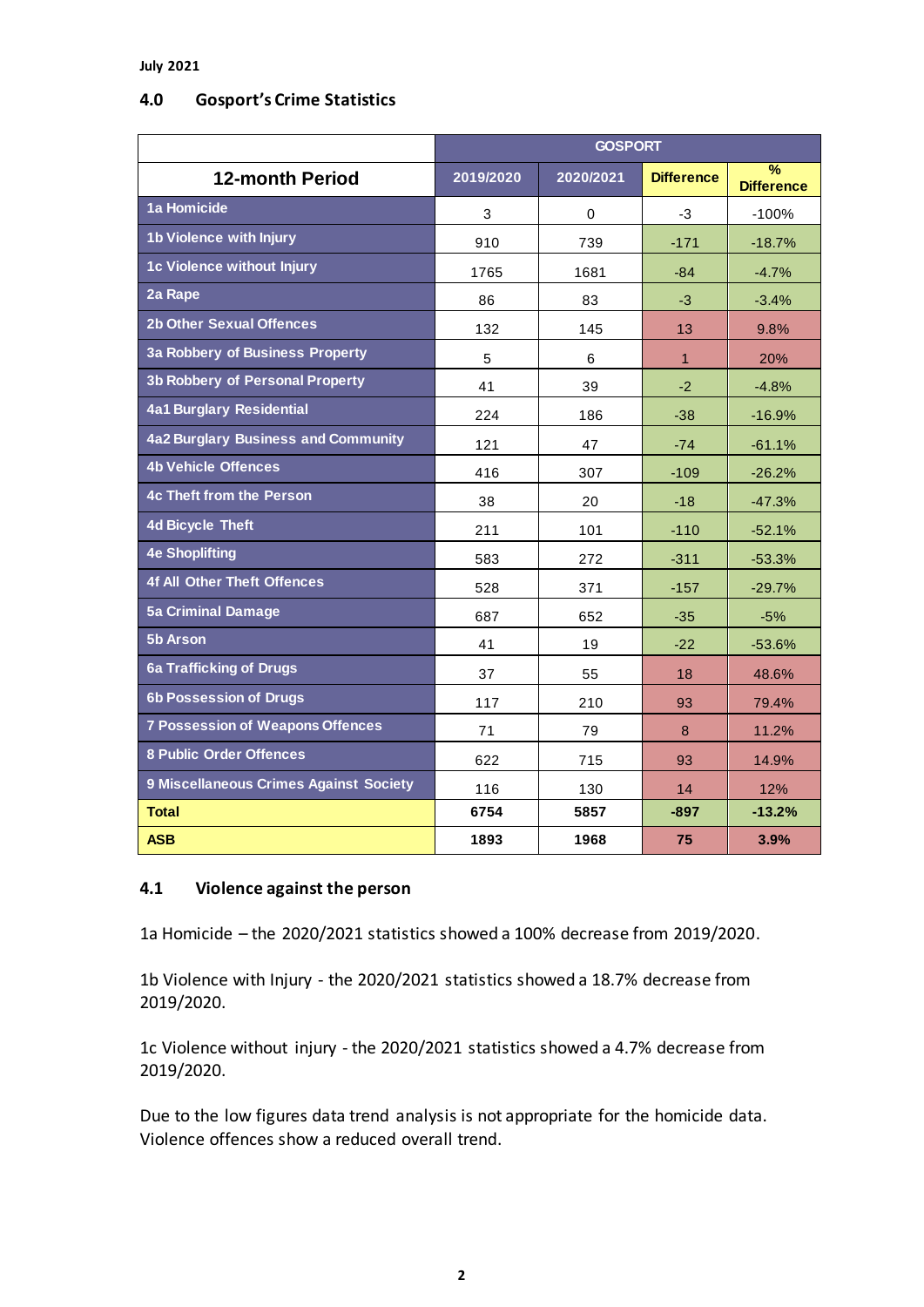#### **July 2021**

### **4.0 Gosport's Crime Statistics**

|                                         | <b>GOSPORT</b> |           |                   |                                    |
|-----------------------------------------|----------------|-----------|-------------------|------------------------------------|
| <b>12-month Period</b>                  | 2019/2020      | 2020/2021 | <b>Difference</b> | $\frac{9}{6}$<br><b>Difference</b> |
| 1a Homicide                             | 3              | 0         | -3                | $-100%$                            |
| 1b Violence with Injury                 | 910            | 739       | $-171$            | $-18.7%$                           |
| 1c Violence without Injury              | 1765           | 1681      | $-84$             | $-4.7%$                            |
| 2a Rape                                 | 86             | 83        | $-3$              | $-3.4%$                            |
| <b>2b Other Sexual Offences</b>         | 132            | 145       | 13                | 9.8%                               |
| 3a Robbery of Business Property         | 5              | 6         | 1                 | 20%                                |
| <b>3b Robbery of Personal Property</b>  | 41             | 39        | $-2$              | $-4.8%$                            |
| <b>4a1 Burglary Residential</b>         | 224            | 186       | $-38$             | $-16.9%$                           |
| 4a2 Burglary Business and Community     | 121            | 47        | $-74$             | $-61.1%$                           |
| <b>4b Vehicle Offences</b>              | 416            | 307       | $-109$            | $-26.2%$                           |
| <b>4c Theft from the Person</b>         | 38             | 20        | $-18$             | $-47.3%$                           |
| <b>4d Bicycle Theft</b>                 | 211            | 101       | $-110$            | $-52.1%$                           |
| <b>4e Shoplifting</b>                   | 583            | 272       | $-311$            | $-53.3%$                           |
| <b>4f All Other Theft Offences</b>      | 528            | 371       | $-157$            | $-29.7%$                           |
| <b>5a Criminal Damage</b>               | 687            | 652       | $-35$             | $-5%$                              |
| 5b Arson                                | 41             | 19        | $-22$             | $-53.6%$                           |
| 6a Trafficking of Drugs                 | 37             | 55        | 18                | 48.6%                              |
| <b>6b Possession of Drugs</b>           | 117            | 210       | 93                | 79.4%                              |
| <b>7 Possession of Weapons Offences</b> | 71             | 79        | 8                 | 11.2%                              |
| <b>8 Public Order Offences</b>          | 622            | 715       | 93                | 14.9%                              |
| 9 Miscellaneous Crimes Against Society  | 116            | 130       | 14                | 12%                                |
| <b>Total</b>                            | 6754           | 5857      | $-897$            | $-13.2%$                           |
| <b>ASB</b>                              | 1893           | 1968      | 75                | 3.9%                               |

## **4.1 Violence against the person**

1a Homicide – the 2020/2021 statistics showed a 100% decrease from 2019/2020.

1b Violence with Injury - the 2020/2021 statistics showed a 18.7% decrease from 2019/2020.

1c Violence without injury - the 2020/2021 statistics showed a 4.7% decrease from 2019/2020.

Due to the low figures data trend analysis is not appropriate for the homicide data. Violence offences show a reduced overall trend.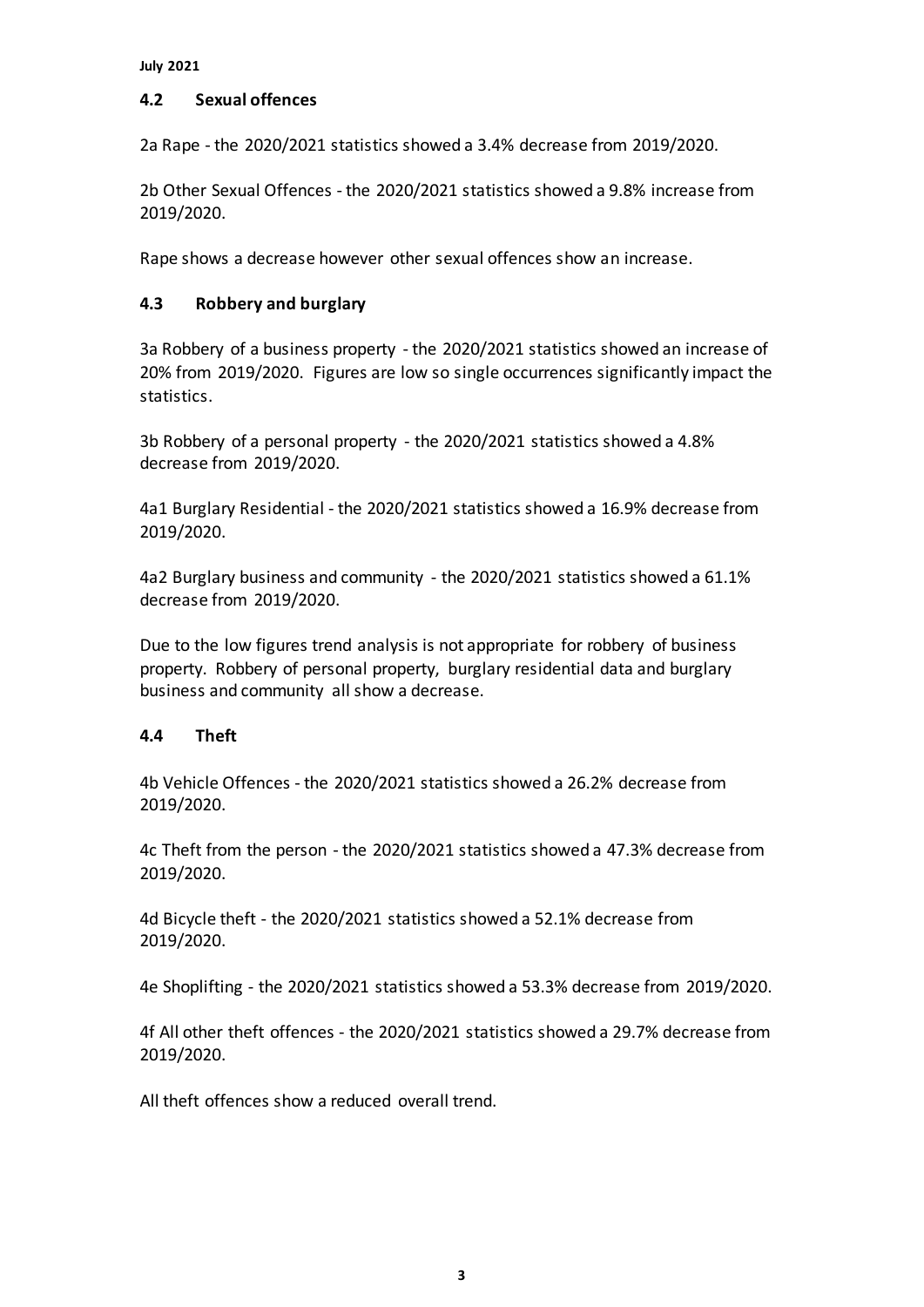### **4.2 Sexual offences**

2a Rape - the 2020/2021 statistics showed a 3.4% decrease from 2019/2020.

2b Other Sexual Offences - the 2020/2021 statistics showed a 9.8% increase from 2019/2020.

Rape shows a decrease however other sexual offences show an increase.

# **4.3 Robbery and burglary**

3a Robbery of a business property - the 2020/2021 statistics showed an increase of 20% from 2019/2020. Figures are low so single occurrences significantly impact the statistics.

3b Robbery of a personal property - the 2020/2021 statistics showed a 4.8% decrease from 2019/2020.

4a1 Burglary Residential - the 2020/2021 statistics showed a 16.9% decrease from 2019/2020.

4a2 Burglary business and community - the 2020/2021 statistics showed a 61.1% decrease from 2019/2020.

Due to the low figures trend analysis is not appropriate for robbery of business property. Robbery of personal property, burglary residential data and burglary business and community all show a decrease.

# **4.4 Theft**

4b Vehicle Offences - the 2020/2021 statistics showed a 26.2% decrease from 2019/2020.

4c Theft from the person - the 2020/2021 statistics showed a 47.3% decrease from 2019/2020.

4d Bicycle theft - the 2020/2021 statistics showed a 52.1% decrease from 2019/2020.

4e Shoplifting - the 2020/2021 statistics showed a 53.3% decrease from 2019/2020.

4f All other theft offences - the 2020/2021 statistics showed a 29.7% decrease from 2019/2020.

All theft offences show a reduced overall trend.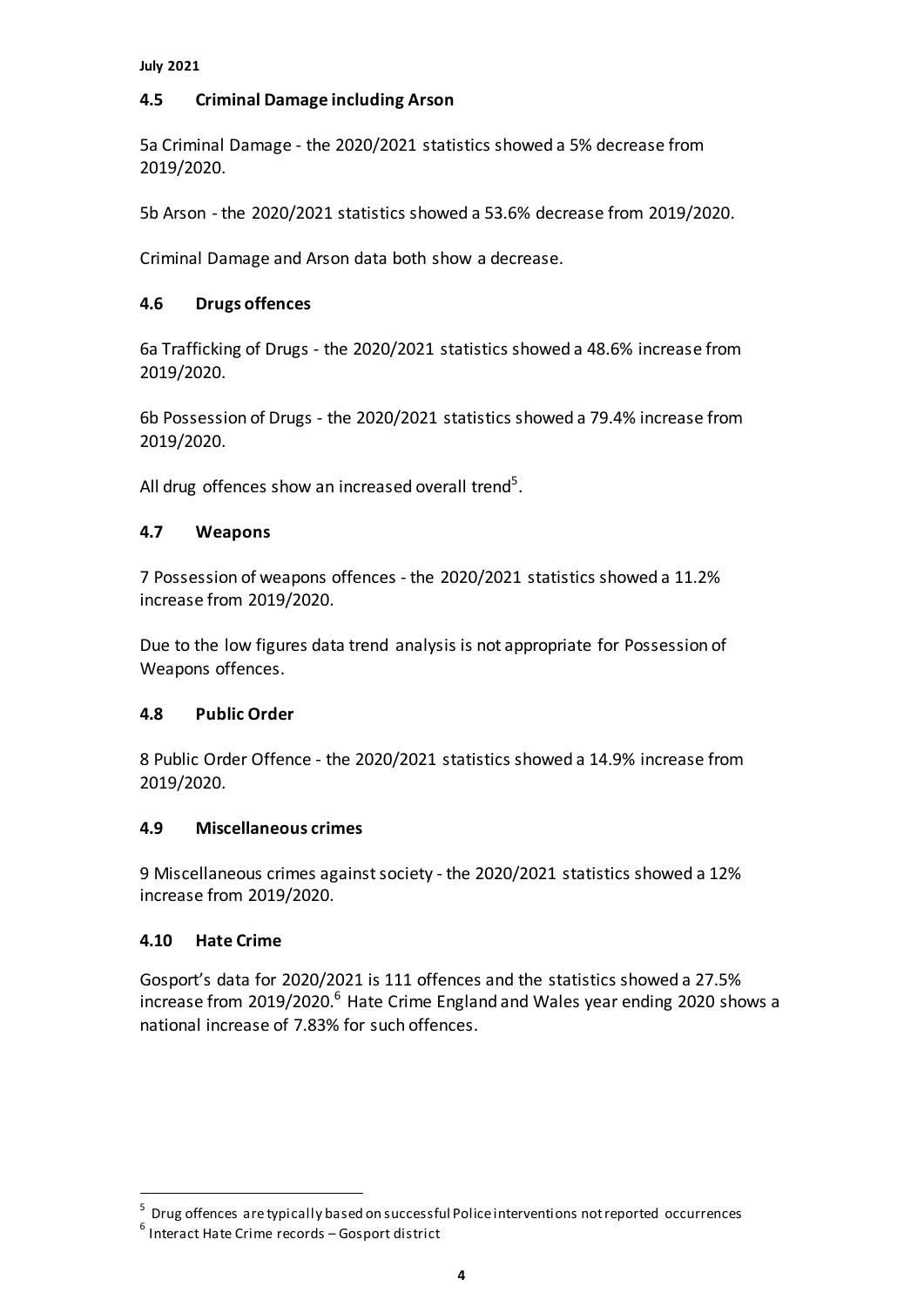# **4.5 Criminal Damage including Arson**

5a Criminal Damage - the 2020/2021 statistics showed a 5% decrease from 2019/2020.

5b Arson - the 2020/2021 statistics showed a 53.6% decrease from 2019/2020.

Criminal Damage and Arson data both show a decrease.

# **4.6 Drugs offences**

6a Trafficking of Drugs - the 2020/2021 statistics showed a 48.6% increase from 2019/2020.

6b Possession of Drugs - the 2020/2021 statistics showed a 79.4% increase from 2019/2020.

All drug offences show an increased overall trend<sup>5</sup>.

## **4.7 Weapons**

7 Possession of weapons offences - the 2020/2021 statistics showed a 11.2% increase from 2019/2020.

Due to the low figures data trend analysis is not appropriate for Possession of Weapons offences.

### **4.8 Public Order**

8 Public Order Offence - the 2020/2021 statistics showed a 14.9% increase from 2019/2020.

# **4.9 Miscellaneous crimes**

9 Miscellaneous crimes against society - the 2020/2021 statistics showed a 12% increase from 2019/2020.

### **4.10 Hate Crime**

 $\overline{a}$ 

Gosport's data for 2020/2021 is 111 offences and the statistics showed a 27.5% increase from 2019/2020.<sup>6</sup> Hate Crime England and Wales year ending 2020 shows a national increase of 7.83% for such offences.

<sup>&</sup>lt;sup>5</sup> Drug offences are typically based on successful Police interventions not reported occurrences

<sup>6</sup> Interact Hate Crime records – Gosport district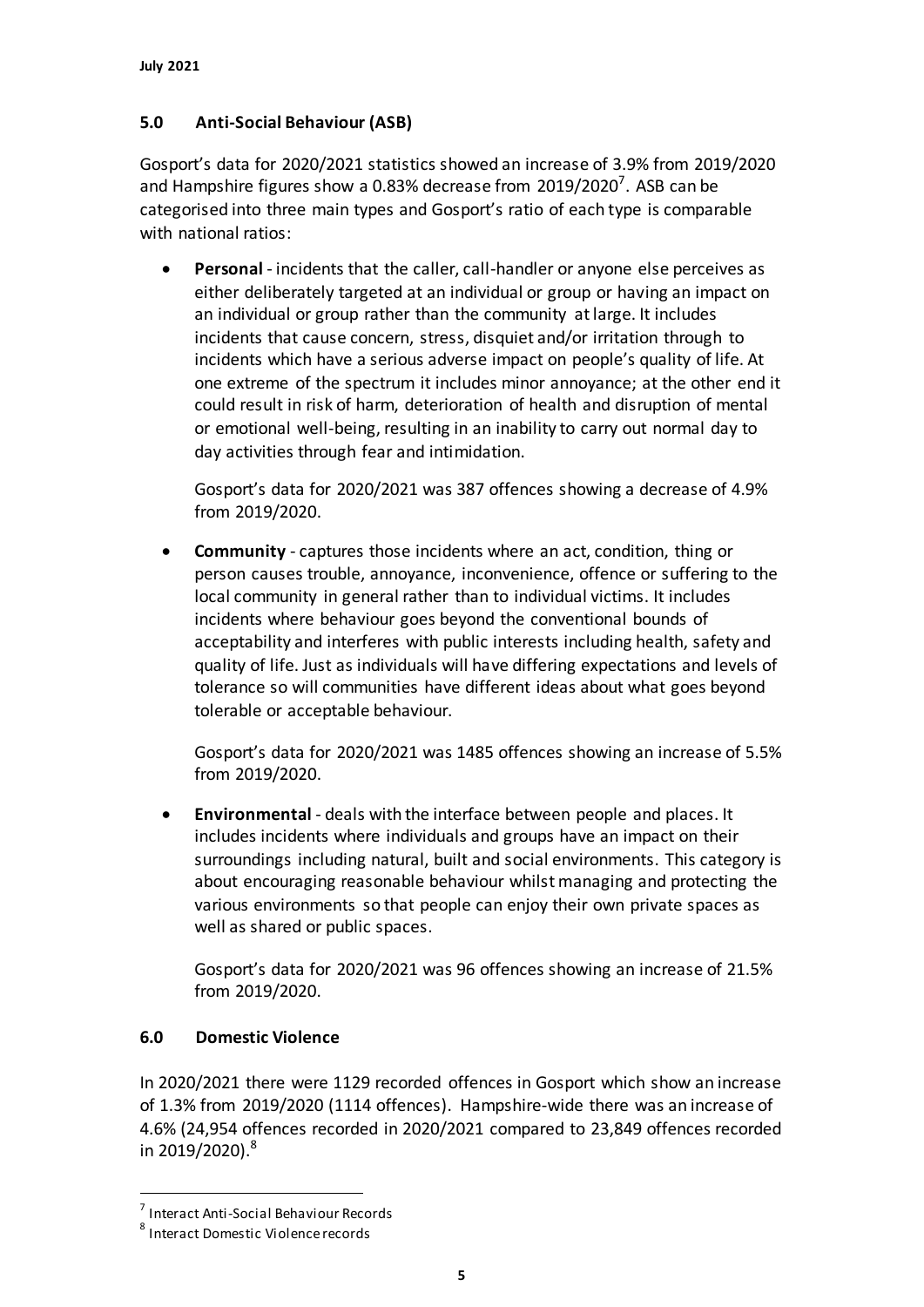# **5.0 Anti-Social Behaviour (ASB)**

Gosport's data for 2020/2021 statistics showed an increase of 3.9% from 2019/2020 and Hampshire figures show a 0.83% decrease from  $2019/2020^7$ . ASB can be categorised into three main types and Gosport's ratio of each type is comparable with national ratios:

 **Personal** - incidents that the caller, call-handler or anyone else perceives as either deliberately targeted at an individual or group or having an impact on an individual or group rather than the community at large. It includes incidents that cause concern, stress, disquiet and/or irritation through to incidents which have a serious adverse impact on people's quality of life. At one extreme of the spectrum it includes minor annoyance; at the other end it could result in risk of harm, deterioration of health and disruption of mental or emotional well-being, resulting in an inability to carry out normal day to day activities through fear and intimidation.

Gosport's data for 2020/2021 was 387 offences showing a decrease of 4.9% from 2019/2020.

 **Community** - captures those incidents where an act, condition, thing or person causes trouble, annoyance, inconvenience, offence or suffering to the local community in general rather than to individual victims. It includes incidents where behaviour goes beyond the conventional bounds of acceptability and interferes with public interests including health, safety and quality of life. Just as individuals will have differing expectations and levels of tolerance so will communities have different ideas about what goes beyond tolerable or acceptable behaviour.

Gosport's data for 2020/2021 was 1485 offences showing an increase of 5.5% from 2019/2020.

 **Environmental** - deals with the interface between people and places. It includes incidents where individuals and groups have an impact on their surroundings including natural, built and social environments. This category is about encouraging reasonable behaviour whilst managing and protecting the various environments so that people can enjoy their own private spaces as well as shared or public spaces.

Gosport's data for 2020/2021 was 96 offences showing an increase of 21.5% from 2019/2020.

# **6.0 Domestic Violence**

In 2020/2021 there were 1129 recorded offences in Gosport which show an increase of 1.3% from 2019/2020 (1114 offences). Hampshire-wide there was an increase of 4.6% (24,954 offences recorded in 2020/2021 compared to 23,849 offences recorded in 2019/2020). 8

 $\overline{a}$ 

<sup>7</sup> Interact Anti-Social Behaviour Records

<sup>8</sup> Interact Domestic Violence records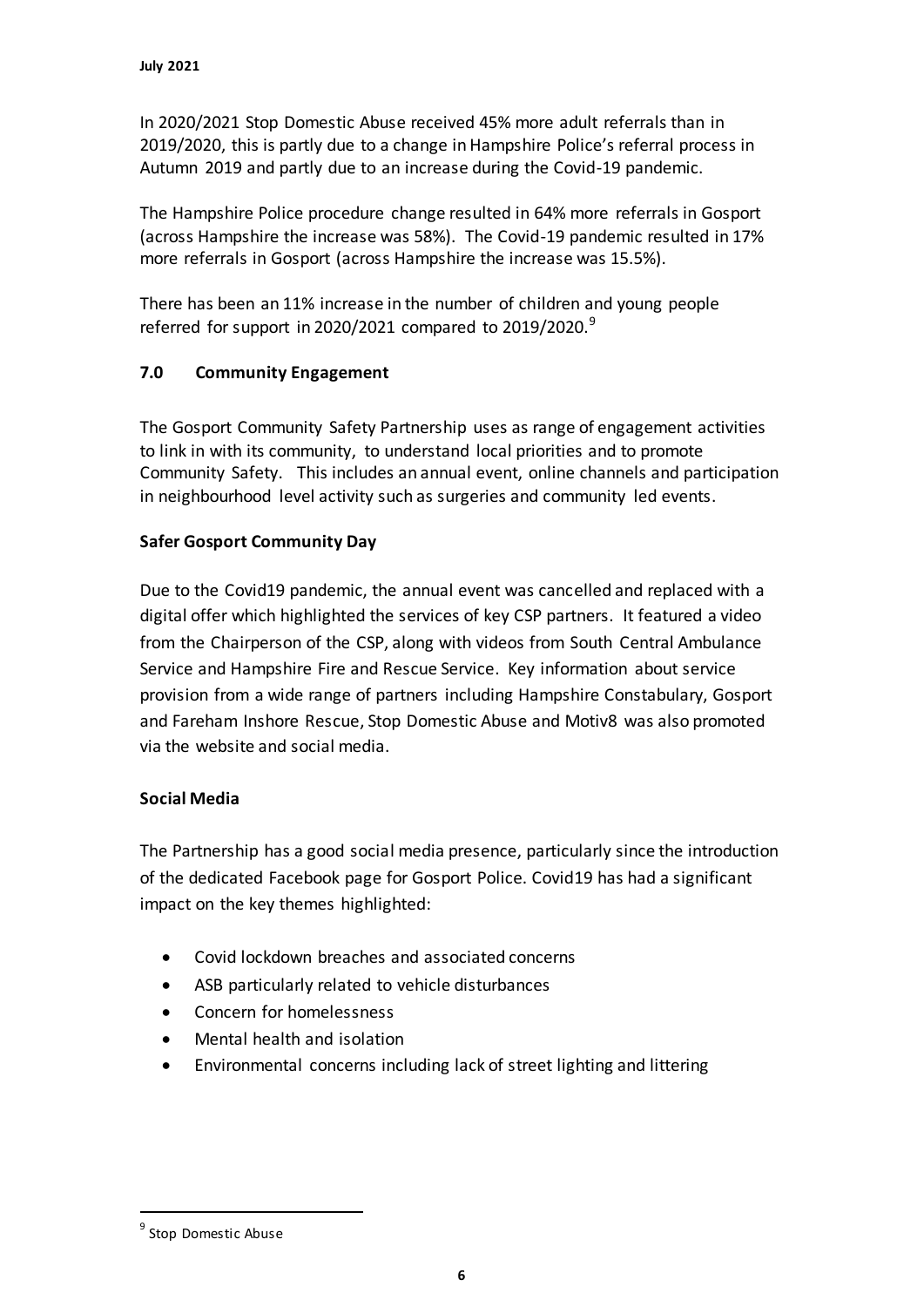In 2020/2021 Stop Domestic Abuse received 45% more adult referrals than in 2019/2020, this is partly due to a change in Hampshire Police's referral process in Autumn 2019 and partly due to an increase during the Covid-19 pandemic.

The Hampshire Police procedure change resulted in 64% more referrals in Gosport (across Hampshire the increase was 58%). The Covid-19 pandemic resulted in 17% more referrals in Gosport (across Hampshire the increase was 15.5%).

There has been an 11% increase in the number of children and young people referred for support in 2020/2021 compared to 2019/2020. $9$ 

# **7.0 Community Engagement**

The Gosport Community Safety Partnership uses as range of engagement activities to link in with its community, to understand local priorities and to promote Community Safety. This includes an annual event, online channels and participation in neighbourhood level activity such as surgeries and community led events.

# **Safer Gosport Community Day**

Due to the Covid19 pandemic, the annual event was cancelled and replaced with a digital offer which highlighted the services of key CSP partners. It featured a video from the Chairperson of the CSP, along with videos from South Central Ambulance Service and Hampshire Fire and Rescue Service. Key information about service provision from a wide range of partners including Hampshire Constabulary, Gosport and Fareham Inshore Rescue, Stop Domestic Abuse and Motiv8 was also promoted via the website and social media.

# **Social Media**

The Partnership has a good social media presence, particularly since the introduction of the dedicated Facebook page for Gosport Police. Covid19 has had a significant impact on the key themes highlighted:

- Covid lockdown breaches and associated concerns
- ASB particularly related to vehicle disturbances
- Concern for homelessness
- Mental health and isolation
- Environmental concerns including lack of street lighting and littering

 $\overline{a}$ 

<sup>&</sup>lt;sup>9</sup> Stop Domestic Abuse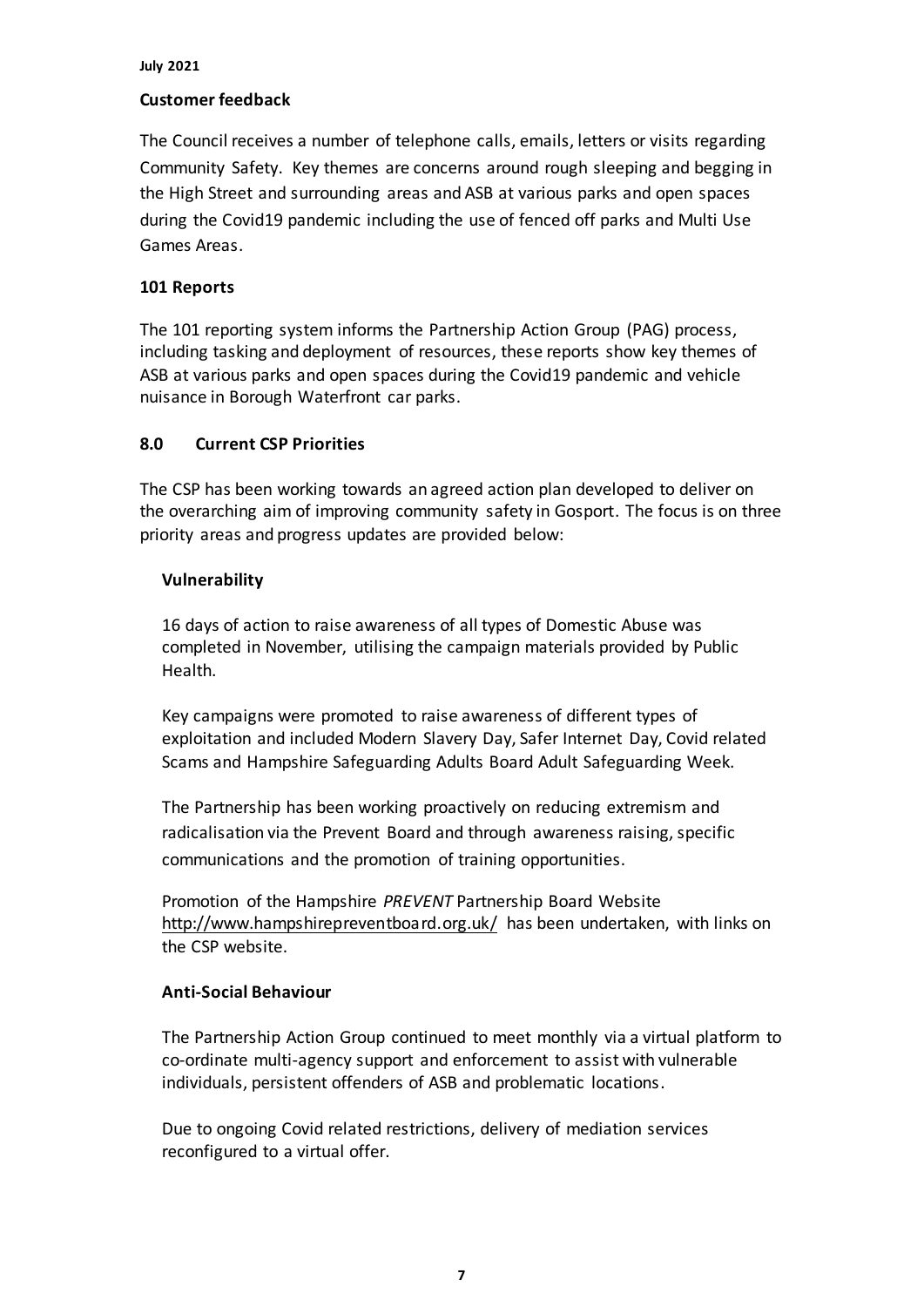#### **July 2021**

### **Customer feedback**

The Council receives a number of telephone calls, emails, letters or visits regarding Community Safety. Key themes are concerns around rough sleeping and begging in the High Street and surrounding areas and ASB at various parks and open spaces during the Covid19 pandemic including the use of fenced off parks and Multi Use Games Areas.

## **101 Reports**

The 101 reporting system informs the Partnership Action Group (PAG) process, including tasking and deployment of resources, these reports show key themes of ASB at various parks and open spaces during the Covid19 pandemic and vehicle nuisance in Borough Waterfront car parks.

## **8.0 Current CSP Priorities**

The CSP has been working towards an agreed action plan developed to deliver on the overarching aim of improving community safety in Gosport. The focus is on three priority areas and progress updates are provided below:

## **Vulnerability**

16 days of action to raise awareness of all types of Domestic Abuse was completed in November, utilising the campaign materials provided by Public Health.

Key campaigns were promoted to raise awareness of different types of exploitation and included Modern Slavery Day, Safer Internet Day, Covid related Scams and Hampshire Safeguarding Adults Board Adult Safeguarding Week.

The Partnership has been working proactively on reducing extremism and radicalisation via the Prevent Board and through awareness raising, specific communications and the promotion of training opportunities.

Promotion of the Hampshire *PREVENT* Partnership Board Website <http://www.hampshirepreventboard.org.uk/> has been undertaken, with links on the CSP website.

### **Anti-Social Behaviour**

The Partnership Action Group continued to meet monthly via a virtual platform to co-ordinate multi-agency support and enforcement to assist with vulnerable individuals, persistent offenders of ASB and problematic locations.

Due to ongoing Covid related restrictions, delivery of mediation services reconfigured to a virtual offer.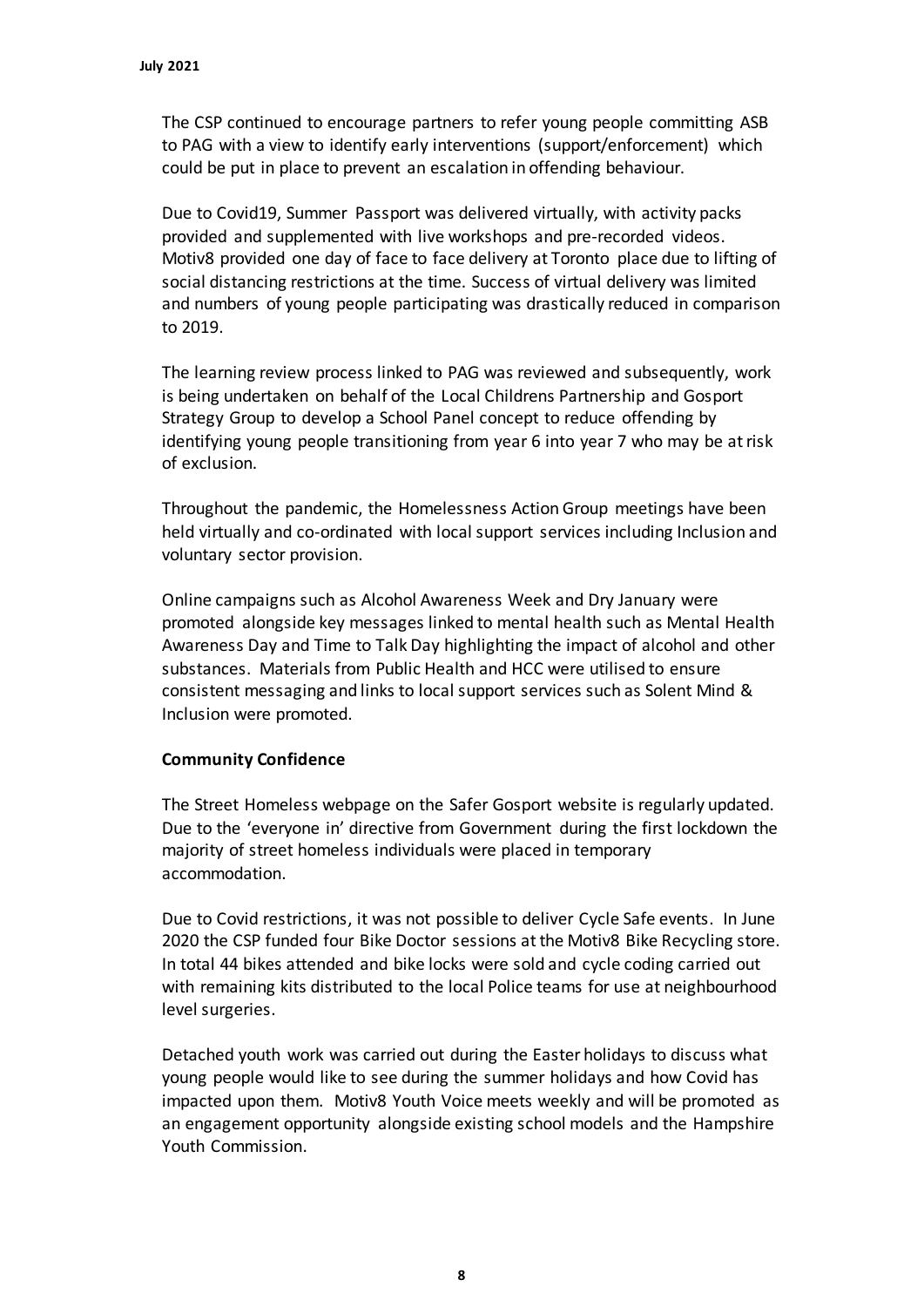The CSP continued to encourage partners to refer young people committing ASB to PAG with a view to identify early interventions (support/enforcement) which could be put in place to prevent an escalation in offending behaviour.

Due to Covid19, Summer Passport was delivered virtually, with activity packs provided and supplemented with live workshops and pre-recorded videos. Motiv8 provided one day of face to face delivery at Toronto place due to lifting of social distancing restrictions at the time. Success of virtual delivery was limited and numbers of young people participating was drastically reduced in comparison to 2019.

The learning review process linked to PAG was reviewed and subsequently, work is being undertaken on behalf of the Local Childrens Partnership and Gosport Strategy Group to develop a School Panel concept to reduce offending by identifying young people transitioning from year 6 into year 7 who may be at risk of exclusion.

Throughout the pandemic, the Homelessness Action Group meetings have been held virtually and co-ordinated with local support services including Inclusion and voluntary sector provision.

Online campaigns such as Alcohol Awareness Week and Dry January were promoted alongside key messages linked to mental health such as Mental Health Awareness Day and Time to Talk Day highlighting the impact of alcohol and other substances. Materials from Public Health and HCC were utilised to ensure consistent messaging and links to local support services such as Solent Mind & Inclusion were promoted.

# **Community Confidence**

The Street Homeless webpage on the Safer Gosport website is regularly updated. Due to the 'everyone in' directive from Government during the first lockdown the majority of street homeless individuals were placed in temporary accommodation.

Due to Covid restrictions, it was not possible to deliver Cycle Safe events. In June 2020 the CSP funded four Bike Doctor sessions at the Motiv8 Bike Recycling store. In total 44 bikes attended and bike locks were sold and cycle coding carried out with remaining kits distributed to the local Police teams for use at neighbourhood level surgeries.

Detached youth work was carried out during the Easter holidays to discuss what young people would like to see during the summer holidays and how Covid has impacted upon them. Motiv8 Youth Voice meets weekly and will be promoted as an engagement opportunity alongside existing school models and the Hampshire Youth Commission.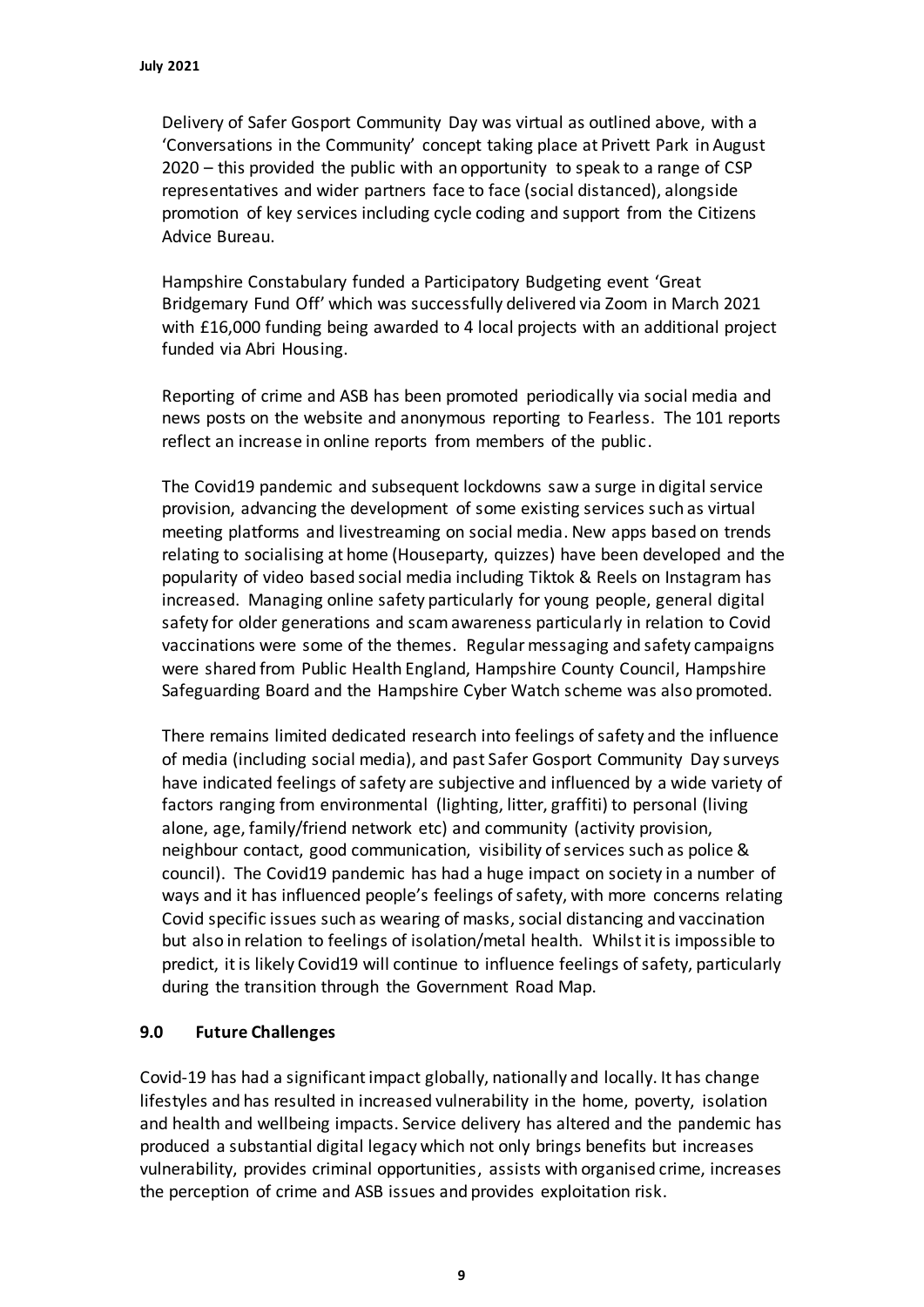Delivery of Safer Gosport Community Day was virtual as outlined above, with a 'Conversations in the Community' concept taking place at Privett Park in August 2020 – this provided the public with an opportunity to speak to a range of CSP representatives and wider partners face to face (social distanced), alongside promotion of key services including cycle coding and support from the Citizens Advice Bureau.

Hampshire Constabulary funded a Participatory Budgeting event 'Great Bridgemary Fund Off' which was successfully delivered via Zoom in March 2021 with £16,000 funding being awarded to 4 local projects with an additional project funded via Abri Housing.

Reporting of crime and ASB has been promoted periodically via social media and news posts on the website and anonymous reporting to Fearless. The 101 reports reflect an increase in online reports from members of the public.

The Covid19 pandemic and subsequent lockdowns saw a surge in digital service provision, advancing the development of some existing services such as virtual meeting platforms and livestreaming on social media. New apps based on trends relating to socialising at home (Houseparty, quizzes) have been developed and the popularity of video based social media including Tiktok & Reels on Instagram has increased. Managing online safety particularly for young people, general digital safety for older generations and scam awareness particularly in relation to Covid vaccinations were some of the themes. Regular messaging and safety campaigns were shared from Public Health England, Hampshire County Council, Hampshire Safeguarding Board and the Hampshire Cyber Watch scheme was also promoted.

There remains limited dedicated research into feelings of safety and the influence of media (including social media), and past Safer Gosport Community Day surveys have indicated feelings of safety are subjective and influenced by a wide variety of factors ranging from environmental (lighting, litter, graffiti) to personal (living alone, age, family/friend network etc) and community (activity provision, neighbour contact, good communication, visibility of services such as police & council). The Covid19 pandemic has had a huge impact on society in a number of ways and it has influenced people's feelings of safety, with more concerns relating Covid specific issues such as wearing of masks, social distancing and vaccination but also in relation to feelings of isolation/metal health. Whilst it is impossible to predict, it is likely Covid19 will continue to influence feelings of safety, particularly during the transition through the Government Road Map.

# **9.0 Future Challenges**

Covid-19 has had a significant impact globally, nationally and locally. It has change lifestyles and has resulted in increased vulnerability in the home, poverty, isolation and health and wellbeing impacts. Service delivery has altered and the pandemic has produced a substantial digital legacy which not only brings benefits but increases vulnerability, provides criminal opportunities, assists with organised crime, increases the perception of crime and ASB issues and provides exploitation risk.